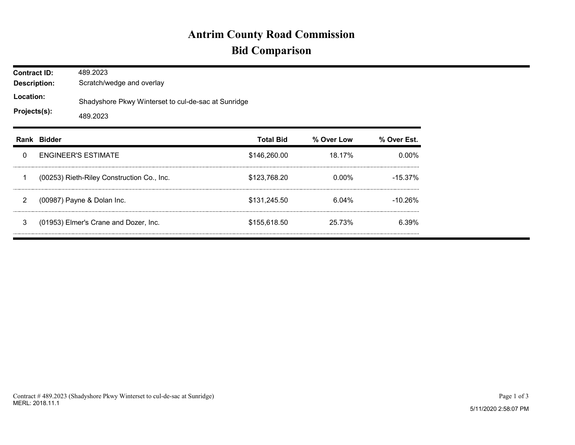## **Antrim County Road Commission Bid Comparison**

| <b>Contract ID:</b><br><b>Description:</b><br>Location:<br>Projects(s): |             | 489.2023<br>Scratch/wedge and overlay<br>Shadyshore Pkwy Winterset to cul-de-sac at Sunridge<br>489.2023 |                  |            |             |  |  |  |
|-------------------------------------------------------------------------|-------------|----------------------------------------------------------------------------------------------------------|------------------|------------|-------------|--|--|--|
|                                                                         | Rank Bidder |                                                                                                          | <b>Total Bid</b> | % Over Low | % Over Est. |  |  |  |
| 0                                                                       |             | <b>ENGINEER'S ESTIMATE</b>                                                                               | \$146,260.00     | 18.17%     | $0.00\%$    |  |  |  |
| 1                                                                       |             | (00253) Rieth-Riley Construction Co., Inc.                                                               | \$123,768.20     | $0.00\%$   | $-15.37%$   |  |  |  |
| $\overline{2}$                                                          |             | (00987) Payne & Dolan Inc.                                                                               | \$131,245.50     | 6.04%      | $-10.26%$   |  |  |  |
| 3                                                                       |             | (01953) Elmer's Crane and Dozer, Inc.                                                                    | \$155,618.50     | 25.73%     | 6.39%       |  |  |  |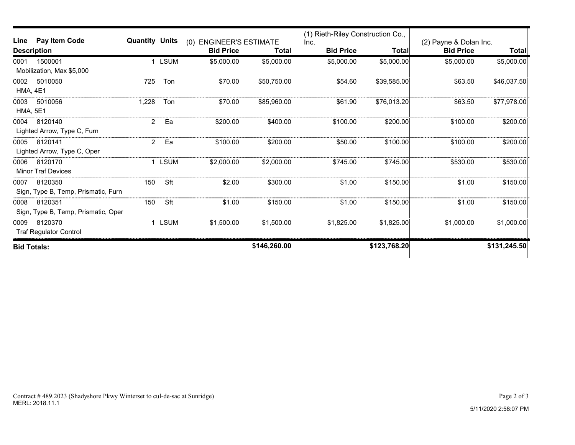| Line                        | Pay Item Code                       | <b>Quantity Units</b> |                  | <b>ENGINEER'S ESTIMATE</b><br>(0) |                  | (1) Rieth-Riley Construction Co.,<br>Inc. |                  | (2) Payne & Dolan Inc. |              |
|-----------------------------|-------------------------------------|-----------------------|------------------|-----------------------------------|------------------|-------------------------------------------|------------------|------------------------|--------------|
| <b>Description</b>          |                                     |                       | <b>Bid Price</b> | Total                             | <b>Bid Price</b> | Total                                     | <b>Bid Price</b> | <b>Total</b>           |              |
| 0001                        | 1500001                             | 1                     | <b>LSUM</b>      | \$5,000.00                        | \$5,000.00       | \$5,000.00                                | \$5,000.00       | \$5,000.00             | \$5,000.00]  |
| Mobilization, Max \$5,000   |                                     |                       |                  |                                   |                  |                                           |                  |                        |              |
| 0002                        | 5010050                             | 725                   | Ton              | \$70.00                           | \$50,750.00      | \$54.60                                   | \$39,585.00      | \$63.50                | \$46,037.50  |
| <b>HMA, 4E1</b>             |                                     |                       |                  |                                   |                  |                                           |                  |                        |              |
| 0003                        | 5010056                             | 1,228                 | Ton              | \$70.00                           | \$85,960.00      | \$61.90                                   | \$76,013.20      | \$63.50                | \$77,978.00  |
| <b>HMA, 5E1</b>             |                                     |                       |                  |                                   |                  |                                           |                  |                        |              |
| 0004                        | 8120140                             | $\overline{2}$        | Ea               | \$200.00                          | \$400.00         | \$100.00                                  | \$200.00         | \$100.00               | \$200.00     |
| Lighted Arrow, Type C, Furn |                                     |                       |                  |                                   |                  |                                           |                  |                        |              |
| 0005                        | 8120141                             | $\overline{c}$        | Ea               | \$100.00                          | \$200.00         | \$50.00                                   | \$100.00         | \$100.00               | \$200.00     |
|                             | Lighted Arrow, Type C, Oper         |                       |                  |                                   |                  |                                           |                  |                        |              |
| 0006                        | 8120170                             |                       | 1 LSUM           | \$2,000.00                        | \$2,000.00       | \$745.00                                  | \$745.00         | \$530.00               | \$530.00     |
|                             | <b>Minor Traf Devices</b>           |                       |                  |                                   |                  |                                           |                  |                        |              |
| 0007                        | 8120350                             | 150                   | Sft              | \$2.00                            | \$300.00         | \$1.00                                    | \$150.00         | \$1.00                 | \$150.00     |
|                             | Sign, Type B, Temp, Prismatic, Furn |                       |                  |                                   |                  |                                           |                  |                        |              |
| 0008                        | 8120351                             | 150                   | Sft              | \$1.00                            | \$150.00         | \$1.00                                    | \$150.00         | \$1.00                 | \$150.00     |
|                             | Sign, Type B, Temp, Prismatic, Oper |                       |                  |                                   |                  |                                           |                  |                        |              |
| 0009                        | 8120370                             | 1.                    | <b>LSUM</b>      | \$1,500.00                        | \$1,500.00       | \$1,825.00                                | \$1,825.00       | \$1,000.00             | \$1,000.00]  |
|                             | <b>Traf Regulator Control</b>       |                       |                  |                                   |                  |                                           |                  |                        |              |
| <b>Bid Totals:</b>          |                                     |                       |                  |                                   | \$146,260.00     |                                           | \$123,768.20     |                        | \$131,245.50 |